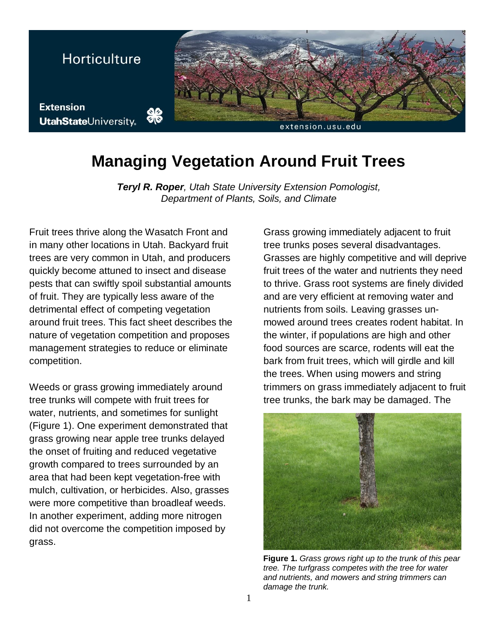

## **Managing Vegetation Around Fruit Trees**

*Teryl R. Roper, Utah State University Extension Pomologist, Department of Plants, Soils, and Climate* 

Fruit trees thrive along the Wasatch Front and in many other locations in Utah. Backyard fruit trees are very common in Utah, and producers quickly become attuned to insect and disease pests that can swiftly spoil substantial amounts of fruit. They are typically less aware of the detrimental effect of competing vegetation around fruit trees. This fact sheet describes the nature of vegetation competition and proposes management strategies to reduce or eliminate competition.

Weeds or grass growing immediately around tree trunks will compete with fruit trees for water, nutrients, and sometimes for sunlight (Figure 1). One experiment demonstrated that grass growing near apple tree trunks delayed the onset of fruiting and reduced vegetative growth compared to trees surrounded by an area that had been kept vegetation-free with mulch, cultivation, or herbicides. Also, grasses were more competitive than broadleaf weeds. In another experiment, adding more nitrogen did not overcome the competition imposed by grass.

Grass growing immediately adjacent to fruit tree trunks poses several disadvantages. Grasses are highly competitive and will deprive fruit trees of the water and nutrients they need to thrive. Grass root systems are finely divided and are very efficient at removing water and nutrients from soils. Leaving grasses unmowed around trees creates rodent habitat. In the winter, if populations are high and other food sources are scarce, rodents will eat the bark from fruit trees, which will girdle and kill the trees. When using mowers and string trimmers on grass immediately adjacent to fruit tree trunks, the bark may be damaged. The



**Figure 1.** *Grass grows right up to the trunk of this pear tree. The turfgrass competes with the tree for water and nutrients, and mowers and string trimmers can damage the trunk.*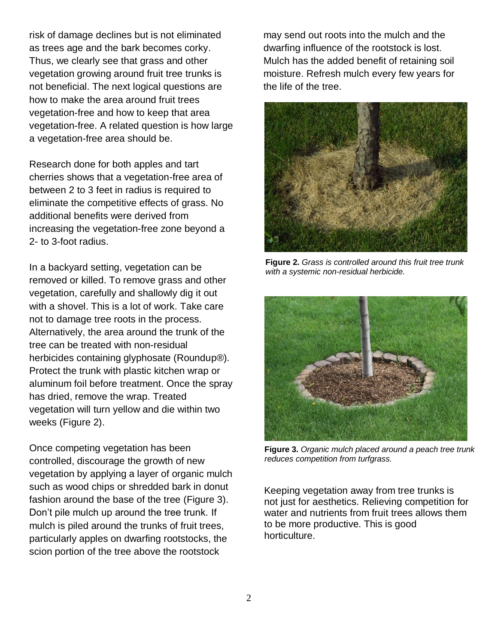risk of damage declines but is not eliminated as trees age and the bark becomes corky. Thus, we clearly see that grass and other vegetation growing around fruit tree trunks is not beneficial. The next logical questions are how to make the area around fruit trees vegetation-free and how to keep that area vegetation-free. A related question is how large a vegetation-free area should be.

Research done for both apples and tart cherries shows that a vegetation-free area of between 2 to 3 feet in radius is required to eliminate the competitive effects of grass. No additional benefits were derived from increasing the vegetation-free zone beyond a 2- to 3-foot radius.

In a backyard setting, vegetation can be removed or killed. To remove grass and other vegetation, carefully and shallowly dig it out with a shovel. This is a lot of work. Take care not to damage tree roots in the process. Alternatively, the area around the trunk of the tree can be treated with non-residual herbicides containing glyphosate (Roundup®). Protect the trunk with plastic kitchen wrap or aluminum foil before treatment. Once the spray has dried, remove the wrap. Treated vegetation will turn yellow and die within two weeks (Figure 2).

Once competing vegetation has been controlled, discourage the growth of new vegetation by applying a layer of organic mulch such as wood chips or shredded bark in donut fashion around the base of the tree (Figure 3). Don't pile mulch up around the tree trunk. If mulch is piled around the trunks of fruit trees, particularly apples on dwarfing rootstocks, the scion portion of the tree above the rootstock

may send out roots into the mulch and the dwarfing influence of the rootstock is lost. Mulch has the added benefit of retaining soil moisture. Refresh mulch every few years for the life of the tree.



**Figure 2.** *Grass is controlled around this fruit tree trunk with a systemic non-residual herbicide.*



**Figure 3.** *Organic mulch placed around a peach tree trunk reduces competition from turfgrass.*

Keeping vegetation away from tree trunks is not just for aesthetics. Relieving competition for water and nutrients from fruit trees allows them to be more productive. This is good horticulture.